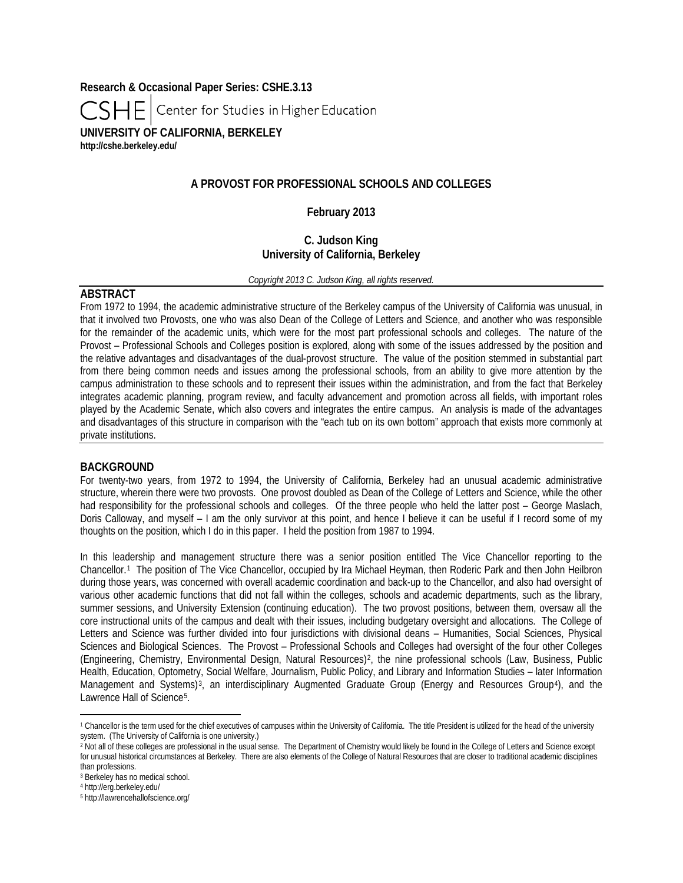**Research & Occasional Paper Series: CSHE.3.13**

Center for Studies in Higher Education CSHEI

**UNIVERSITY OF CALIFORNIA, BERKELEY <http://cshe.berkeley.edu/>**

# **A PROVOST FOR PROFESSIONAL SCHOOLS AND COLLEGES**

### **February 2013**

## **C. Judson King University of California, Berkeley**

*Copyright 2013 C. Judson King, all rights reserved.*

### **ABSTRACT**

From 1972 to 1994, the academic administrative structure of the Berkeley campus of the University of California was unusual, in that it involved two Provosts, one who was also Dean of the College of Letters and Science, and another who was responsible for the remainder of the academic units, which were for the most part professional schools and colleges. The nature of the Provost – Professional Schools and Colleges position is explored, along with some of the issues addressed by the position and the relative advantages and disadvantages of the dual-provost structure. The value of the position stemmed in substantial part from there being common needs and issues among the professional schools, from an ability to give more attention by the campus administration to these schools and to represent their issues within the administration, and from the fact that Berkeley integrates academic planning, program review, and faculty advancement and promotion across all fields, with important roles played by the Academic Senate, which also covers and integrates the entire campus. An analysis is made of the advantages and disadvantages of this structure in comparison with the "each tub on its own bottom" approach that exists more commonly at private institutions.

#### **BACKGROUND**

For twenty-two years, from 1972 to 1994, the University of California, Berkeley had an unusual academic administrative structure, wherein there were two provosts. One provost doubled as Dean of the College of Letters and Science, while the other had responsibility for the professional schools and colleges. Of the three people who held the latter post – George Maslach, Doris Calloway, and myself – I am the only survivor at this point, and hence I believe it can be useful if I record some of my thoughts on the position, which I do in this paper. I held the position from 1987 to 1994.

In this leadership and management structure there was a senior position entitled The Vice Chancellor reporting to the Chancellor.[1](#page-0-0) The position of The Vice Chancellor, occupied by Ira Michael Heyman, then Roderic Park and then John Heilbron during those years, was concerned with overall academic coordination and back-up to the Chancellor, and also had oversight of various other academic functions that did not fall within the colleges, schools and academic departments, such as the library, summer sessions, and University Extension (continuing education). The two provost positions, between them, oversaw all the core instructional units of the campus and dealt with their issues, including budgetary oversight and allocations. The College of Letters and Science was further divided into four jurisdictions with divisional deans – Humanities, Social Sciences, Physical Sciences and Biological Sciences. The Provost – Professional Schools and Colleges had oversight of the four other Colleges (Engineering, Chemistry, Environmental Design, Natural Resources)[2](#page-0-1), the nine professional schools (Law, Business, Public Health, Education, Optometry, Social Welfare, Journalism, Public Policy, and Library and Information Studies – later Information Management and Systems)<sup>[3](#page-0-2)</sup>, an interdisciplinary Augmented Graduate Group (Energy and Resources Group<sup>[4](#page-0-3)</sup>), and the Lawrence Hall of Science<sup>[5](#page-0-4)</sup>.

 $\overline{\phantom{a}}$ 

<span id="page-0-0"></span><sup>&</sup>lt;sup>1</sup> Chancellor is the term used for the chief executives of campuses within the University of California. The title President is utilized for the head of the university system. (The University of California is one university.)

<span id="page-0-1"></span><sup>2</sup> Not all of these colleges are professional in the usual sense. The Department of Chemistry would likely be found in the College of Letters and Science except for unusual historical circumstances at Berkeley. There are also elements of the College of Natural Resources that are closer to traditional academic disciplines than professions.

<span id="page-0-2"></span><sup>3</sup> Berkeley has no medical school.

<span id="page-0-3"></span><sup>4</sup> <http://erg.berkeley.edu/>

<span id="page-0-4"></span><sup>5</sup> <http://lawrencehallofscience.org/>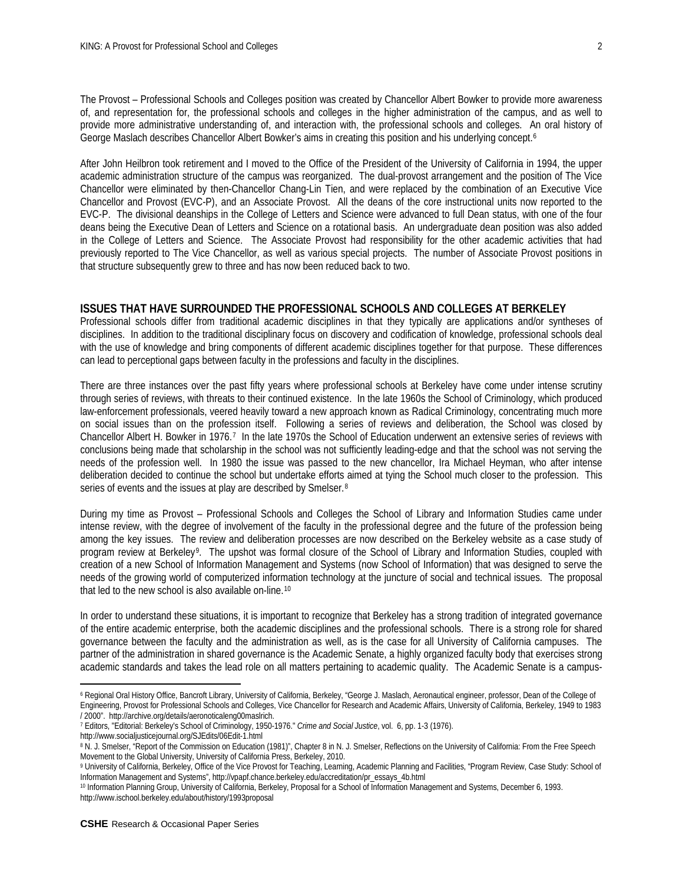The Provost – Professional Schools and Colleges position was created by Chancellor Albert Bowker to provide more awareness of, and representation for, the professional schools and colleges in the higher administration of the campus, and as well to provide more administrative understanding of, and interaction with, the professional schools and colleges. An oral history of George Maslach describes Chancellor Albert Bowker's aims in creating this position and his underlying concept.<sup>[6](#page-1-0)</sup>

After John Heilbron took retirement and I moved to the Office of the President of the University of California in 1994, the upper academic administration structure of the campus was reorganized. The dual-provost arrangement and the position of The Vice Chancellor were eliminated by then-Chancellor Chang-Lin Tien, and were replaced by the combination of an Executive Vice Chancellor and Provost (EVC-P), and an Associate Provost. All the deans of the core instructional units now reported to the EVC-P. The divisional deanships in the College of Letters and Science were advanced to full Dean status, with one of the four deans being the Executive Dean of Letters and Science on a rotational basis. An undergraduate dean position was also added in the College of Letters and Science. The Associate Provost had responsibility for the other academic activities that had previously reported to The Vice Chancellor, as well as various special projects. The number of Associate Provost positions in that structure subsequently grew to three and has now been reduced back to two.

#### **ISSUES THAT HAVE SURROUNDED THE PROFESSIONAL SCHOOLS AND COLLEGES AT BERKELEY**

Professional schools differ from traditional academic disciplines in that they typically are applications and/or syntheses of disciplines. In addition to the traditional disciplinary focus on discovery and codification of knowledge, professional schools deal with the use of knowledge and bring components of different academic disciplines together for that purpose. These differences can lead to perceptional gaps between faculty in the professions and faculty in the disciplines.

There are three instances over the past fifty years where professional schools at Berkeley have come under intense scrutiny through series of reviews, with threats to their continued existence. In the late 1960s the School of Criminology, which produced law-enforcement professionals, veered heavily toward a new approach known as Radical Criminology, concentrating much more on social issues than on the profession itself. Following a series of reviews and deliberation, the School was closed by Chancellor Albert H. Bowker in 1976.[7](#page-1-1) In the late 1970s the School of Education underwent an extensive series of reviews with conclusions being made that scholarship in the school was not sufficiently leading-edge and that the school was not serving the needs of the profession well. In 1980 the issue was passed to the new chancellor, Ira Michael Heyman, who after intense deliberation decided to continue the school but undertake efforts aimed at tying the School much closer to the profession. This series of events and the issues at play are described by Smelser.[8](#page-1-2)

During my time as Provost – Professional Schools and Colleges the School of Library and Information Studies came under intense review, with the degree of involvement of the faculty in the professional degree and the future of the profession being among the key issues. The review and deliberation processes are now described on the Berkeley website as a case study of program review at Berkeley[9.](#page-1-3) The upshot was formal closure of the School of Library and Information Studies, coupled with creation of a new School of Information Management and Systems (now School of Information) that was designed to serve the needs of the growing world of computerized information technology at the juncture of social and technical issues. The proposal that led to the new school is also available on-line.[10](#page-1-4)

In order to understand these situations, it is important to recognize that Berkeley has a strong tradition of integrated governance of the entire academic enterprise, both the academic disciplines and the professional schools. There is a strong role for shared governance between the faculty and the administration as well, as is the case for all University of California campuses. The partner of the administration in shared governance is the Academic Senate, a highly organized faculty body that exercises strong academic standards and takes the lead role on all matters pertaining to academic quality. The Academic Senate is a campus-

 $\overline{\phantom{a}}$ 

<span id="page-1-0"></span><sup>6</sup> Regional Oral History Office, Bancroft Library, University of California, Berkeley, "George J. Maslach, Aeronautical engineer, professor, Dean of the College of Engineering, Provost for Professional Schools and Colleges, Vice Chancellor for Research and Academic Affairs, University of California, Berkeley, 1949 to 1983 / 2000". [http://archive.org/details/aeronoticaleng00maslrich.](http://archive.org/details/aeronoticaleng00maslrich)

<sup>7</sup> Editors, "Editorial: Berkeley's School of Criminology, 1950-1976." *Crime and Social Justice*, vol. 6, pp. 1-3 (1976).

<span id="page-1-1"></span><http://www.socialjusticejournal.org/SJEdits/06Edit-1.html>

<span id="page-1-2"></span><sup>8</sup> N. J. Smelser, "Report of the Commission on Education (1981)", Chapter 8 in N. J. Smelser, Reflections on the University of California: From the Free Speech Movement to the Global University, University of California Press, Berkeley, 2010.

<span id="page-1-3"></span><sup>9</sup> University of California, Berkeley, Office of the Vice Provost for Teaching, Learning, Academic Planning and Facilities, "Program Review, Case Study: School of Information Management and Systems"[, http://vpapf.chance.berkeley.edu/accreditation/pr\\_essays\\_4b.html](http://vpapf.chance.berkeley.edu/accreditation/pr_essays_4b.html)

<span id="page-1-4"></span><sup>10</sup> Information Planning Group, University of California, Berkeley, Proposal for a School of Information Management and Systems, December 6, 1993. <http://www.ischool.berkeley.edu/about/history/1993proposal>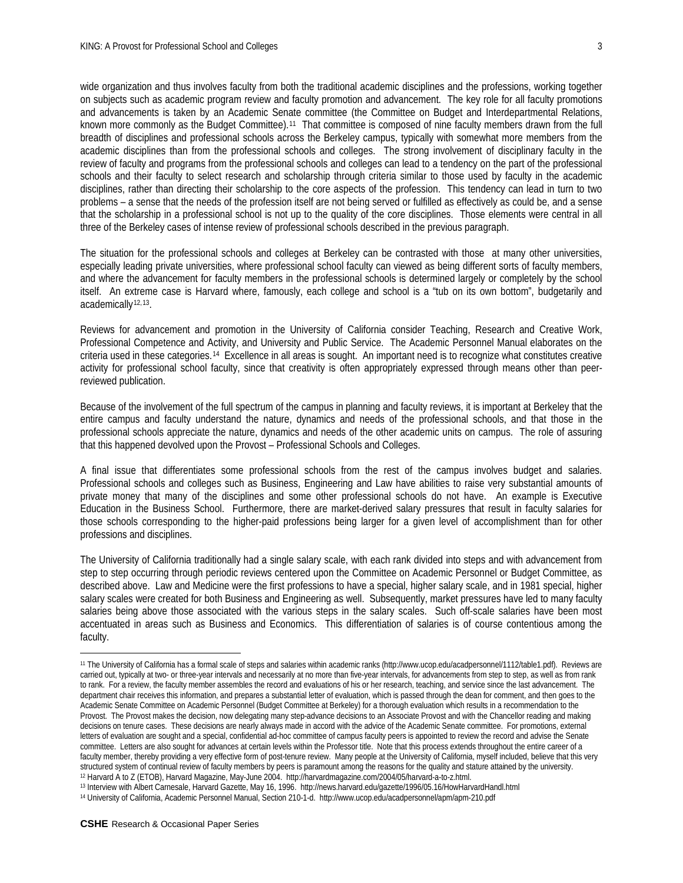wide organization and thus involves faculty from both the traditional academic disciplines and the professions, working together on subjects such as academic program review and faculty promotion and advancement. The key role for all faculty promotions and advancements is taken by an Academic Senate committee (the Committee on Budget and Interdepartmental Relations, known more commonly as the Budget Committee).[11](#page-2-0) That committee is composed of nine faculty members drawn from the full breadth of disciplines and professional schools across the Berkeley campus, typically with somewhat more members from the

academic disciplines than from the professional schools and colleges. The strong involvement of disciplinary faculty in the review of faculty and programs from the professional schools and colleges can lead to a tendency on the part of the professional schools and their faculty to select research and scholarship through criteria similar to those used by faculty in the academic disciplines, rather than directing their scholarship to the core aspects of the profession. This tendency can lead in turn to two problems – a sense that the needs of the profession itself are not being served or fulfilled as effectively as could be, and a sense that the scholarship in a professional school is not up to the quality of the core disciplines. Those elements were central in all three of the Berkeley cases of intense review of professional schools described in the previous paragraph.

The situation for the professional schools and colleges at Berkeley can be contrasted with those at many other universities, especially leading private universities, where professional school faculty can viewed as being different sorts of faculty members, and where the advancement for faculty members in the professional schools is determined largely or completely by the school itself. An extreme case is Harvard where, famously, each college and school is a "tub on its own bottom", budgetarily and academically<sup>[12,](#page-2-1)13</sup>.

Reviews for advancement and promotion in the University of California consider Teaching, Research and Creative Work, Professional Competence and Activity, and University and Public Service. The Academic Personnel Manual elaborates on the criteria used in these categories.[14](#page-2-3) Excellence in all areas is sought. An important need is to recognize what constitutes creative activity for professional school faculty, since that creativity is often appropriately expressed through means other than peerreviewed publication.

Because of the involvement of the full spectrum of the campus in planning and faculty reviews, it is important at Berkeley that the entire campus and faculty understand the nature, dynamics and needs of the professional schools, and that those in the professional schools appreciate the nature, dynamics and needs of the other academic units on campus. The role of assuring that this happened devolved upon the Provost – Professional Schools and Colleges.

A final issue that differentiates some professional schools from the rest of the campus involves budget and salaries. Professional schools and colleges such as Business, Engineering and Law have abilities to raise very substantial amounts of private money that many of the disciplines and some other professional schools do not have. An example is Executive Education in the Business School. Furthermore, there are market-derived salary pressures that result in faculty salaries for those schools corresponding to the higher-paid professions being larger for a given level of accomplishment than for other professions and disciplines.

The University of California traditionally had a single salary scale, with each rank divided into steps and with advancement from step to step occurring through periodic reviews centered upon the Committee on Academic Personnel or Budget Committee, as described above. Law and Medicine were the first professions to have a special, higher salary scale, and in 1981 special, higher salary scales were created for both Business and Engineering as well. Subsequently, market pressures have led to many faculty salaries being above those associated with the various steps in the salary scales. Such off-scale salaries have been most accentuated in areas such as Business and Economics. This differentiation of salaries is of course contentious among the faculty.

l

<span id="page-2-0"></span><sup>11</sup> The University of California has a formal scale of steps and salaries within academic ranks [\(http://www.ucop.edu/acadpersonnel/1112/table1.pdf\)](http://www.ucop.edu/acadpersonnel/1112/table1.pdf). Reviews are carried out, typically at two- or three-year intervals and necessarily at no more than five-year intervals, for advancements from step to step, as well as from rank to rank. For a review, the faculty member assembles the record and evaluations of his or her research, teaching, and service since the last advancement. The department chair receives this information, and prepares a substantial letter of evaluation, which is passed through the dean for comment, and then goes to the Academic Senate Committee on Academic Personnel (Budget Committee at Berkeley) for a thorough evaluation which results in a recommendation to the Provost. The Provost makes the decision, now delegating many step-advance decisions to an Associate Provost and with the Chancellor reading and making decisions on tenure cases. These decisions are nearly always made in accord with the advice of the Academic Senate committee. For promotions, external letters of evaluation are sought and a special, confidential ad-hoc committee of campus faculty peers is appointed to review the record and advise the Senate committee. Letters are also sought for advances at certain levels within the Professor title. Note that this process extends throughout the entire career of a faculty member, thereby providing a very effective form of post-tenure review. Many people at the University of California, myself included, believe that this very structured system of continual review of faculty members by peers is paramount among the reasons for the quality and stature attained by the university. <sup>12</sup> Harvard A to Z (ETOB), Harvard Magazine, May-June 2004. [http://harvardmagazine.com/2004/05/harvard-a-to-z.html.](http://harvardmagazine.com/2004/05/harvard-a-to-z.html)

<span id="page-2-2"></span><span id="page-2-1"></span><sup>13</sup> Interview with Albert Carnesale, Harvard Gazette, May 16, 1996.<http://news.harvard.edu/gazette/1996/05.16/HowHarvardHandl.html>

<span id="page-2-3"></span><sup>14</sup> University of California, Academic Personnel Manual, Section 210-1-d.<http://www.ucop.edu/acadpersonnel/apm/apm-210.pdf>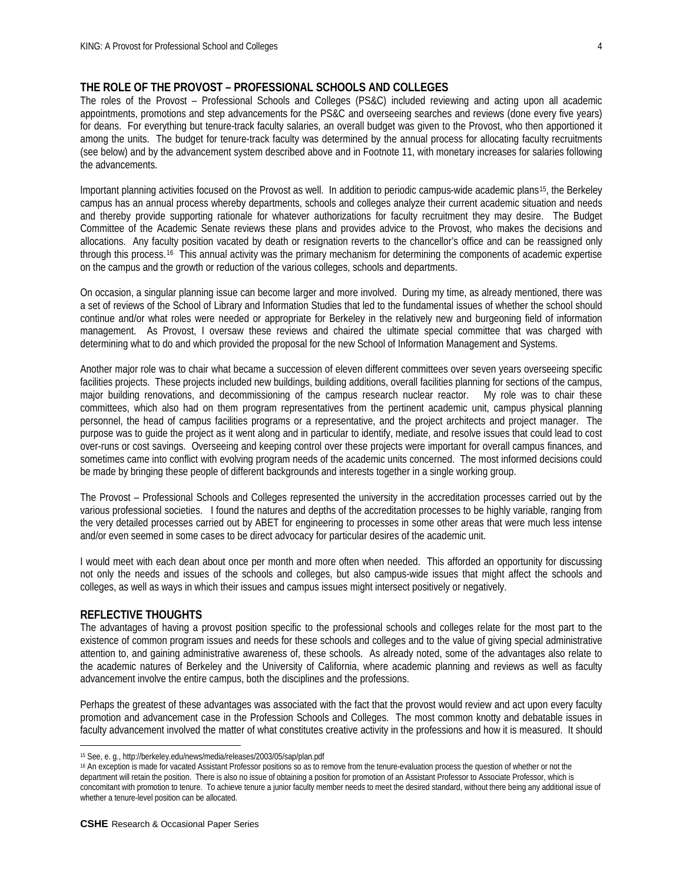## **THE ROLE OF THE PROVOST – PROFESSIONAL SCHOOLS AND COLLEGES**

The roles of the Provost – Professional Schools and Colleges (PS&C) included reviewing and acting upon all academic appointments, promotions and step advancements for the PS&C and overseeing searches and reviews (done every five years) for deans. For everything but tenure-track faculty salaries, an overall budget was given to the Provost, who then apportioned it among the units. The budget for tenure-track faculty was determined by the annual process for allocating faculty recruitments (see below) and by the advancement system described above and in Footnote 11, with monetary increases for salaries following the advancements.

Important planning activities focused on the Provost as well. In addition to periodic campus-wide academic plans[15,](#page-3-0) the Berkeley campus has an annual process whereby departments, schools and colleges analyze their current academic situation and needs and thereby provide supporting rationale for whatever authorizations for faculty recruitment they may desire. The Budget Committee of the Academic Senate reviews these plans and provides advice to the Provost, who makes the decisions and allocations. Any faculty position vacated by death or resignation reverts to the chancellor's office and can be reassigned only through this process.[16](#page-3-1) This annual activity was the primary mechanism for determining the components of academic expertise on the campus and the growth or reduction of the various colleges, schools and departments.

On occasion, a singular planning issue can become larger and more involved. During my time, as already mentioned, there was a set of reviews of the School of Library and Information Studies that led to the fundamental issues of whether the school should continue and/or what roles were needed or appropriate for Berkeley in the relatively new and burgeoning field of information management. As Provost, I oversaw these reviews and chaired the ultimate special committee that was charged with determining what to do and which provided the proposal for the new School of Information Management and Systems.

Another major role was to chair what became a succession of eleven different committees over seven years overseeing specific facilities projects. These projects included new buildings, building additions, overall facilities planning for sections of the campus, major building renovations, and decommissioning of the campus research nuclear reactor. My role was to chair these committees, which also had on them program representatives from the pertinent academic unit, campus physical planning personnel, the head of campus facilities programs or a representative, and the project architects and project manager. The purpose was to guide the project as it went along and in particular to identify, mediate, and resolve issues that could lead to cost over-runs or cost savings. Overseeing and keeping control over these projects were important for overall campus finances, and sometimes came into conflict with evolving program needs of the academic units concerned. The most informed decisions could be made by bringing these people of different backgrounds and interests together in a single working group.

The Provost – Professional Schools and Colleges represented the university in the accreditation processes carried out by the various professional societies. I found the natures and depths of the accreditation processes to be highly variable, ranging from the very detailed processes carried out by ABET for engineering to processes in some other areas that were much less intense and/or even seemed in some cases to be direct advocacy for particular desires of the academic unit.

I would meet with each dean about once per month and more often when needed. This afforded an opportunity for discussing not only the needs and issues of the schools and colleges, but also campus-wide issues that might affect the schools and colleges, as well as ways in which their issues and campus issues might intersect positively or negatively.

### **REFLECTIVE THOUGHTS**

 $\overline{\phantom{a}}$ 

The advantages of having a provost position specific to the professional schools and colleges relate for the most part to the existence of common program issues and needs for these schools and colleges and to the value of giving special administrative attention to, and gaining administrative awareness of, these schools. As already noted, some of the advantages also relate to the academic natures of Berkeley and the University of California, where academic planning and reviews as well as faculty advancement involve the entire campus, both the disciplines and the professions.

Perhaps the greatest of these advantages was associated with the fact that the provost would review and act upon every faculty promotion and advancement case in the Profession Schools and Colleges. The most common knotty and debatable issues in faculty advancement involved the matter of what constitutes creative activity in the professions and how it is measured. It should

<span id="page-3-0"></span><sup>15</sup> See, e. g.[, http://berkeley.edu/news/media/releases/2003/05/sap/plan.pdf](http://berkeley.edu/news/media/releases/2003/05/sap/plan.pdf)

<span id="page-3-1"></span><sup>16</sup> An exception is made for vacated Assistant Professor positions so as to remove from the tenure-evaluation process the question of whether or not the department will retain the position. There is also no issue of obtaining a position for promotion of an Assistant Professor to Associate Professor, which is concomitant with promotion to tenure. To achieve tenure a junior faculty member needs to meet the desired standard, without there being any additional issue of whether a tenure-level position can be allocated.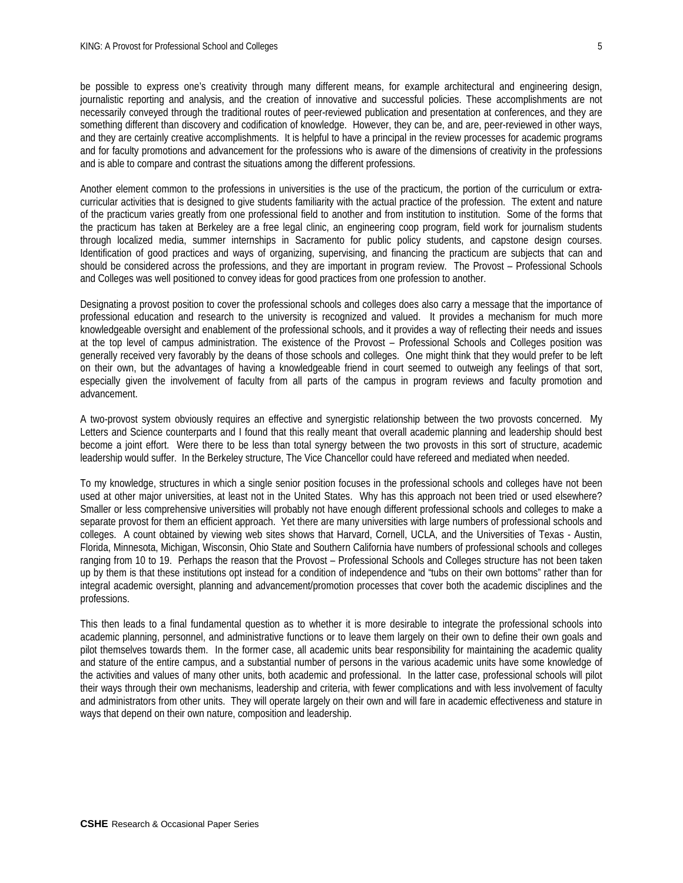be possible to express one's creativity through many different means, for example architectural and engineering design, journalistic reporting and analysis, and the creation of innovative and successful policies. These accomplishments are not necessarily conveyed through the traditional routes of peer-reviewed publication and presentation at conferences, and they are something different than discovery and codification of knowledge. However, they can be, and are, peer-reviewed in other ways, and they are certainly creative accomplishments. It is helpful to have a principal in the review processes for academic programs and for faculty promotions and advancement for the professions who is aware of the dimensions of creativity in the professions and is able to compare and contrast the situations among the different professions.

Another element common to the professions in universities is the use of the practicum, the portion of the curriculum or extracurricular activities that is designed to give students familiarity with the actual practice of the profession. The extent and nature of the practicum varies greatly from one professional field to another and from institution to institution. Some of the forms that the practicum has taken at Berkeley are a free legal clinic, an engineering coop program, field work for journalism students through localized media, summer internships in Sacramento for public policy students, and capstone design courses. Identification of good practices and ways of organizing, supervising, and financing the practicum are subjects that can and should be considered across the professions, and they are important in program review. The Provost – Professional Schools and Colleges was well positioned to convey ideas for good practices from one profession to another.

Designating a provost position to cover the professional schools and colleges does also carry a message that the importance of professional education and research to the university is recognized and valued. It provides a mechanism for much more knowledgeable oversight and enablement of the professional schools, and it provides a way of reflecting their needs and issues at the top level of campus administration. The existence of the Provost – Professional Schools and Colleges position was generally received very favorably by the deans of those schools and colleges. One might think that they would prefer to be left on their own, but the advantages of having a knowledgeable friend in court seemed to outweigh any feelings of that sort, especially given the involvement of faculty from all parts of the campus in program reviews and faculty promotion and advancement.

A two-provost system obviously requires an effective and synergistic relationship between the two provosts concerned. My Letters and Science counterparts and I found that this really meant that overall academic planning and leadership should best become a joint effort. Were there to be less than total synergy between the two provosts in this sort of structure, academic leadership would suffer. In the Berkeley structure, The Vice Chancellor could have refereed and mediated when needed.

To my knowledge, structures in which a single senior position focuses in the professional schools and colleges have not been used at other major universities, at least not in the United States. Why has this approach not been tried or used elsewhere? Smaller or less comprehensive universities will probably not have enough different professional schools and colleges to make a separate provost for them an efficient approach. Yet there are many universities with large numbers of professional schools and colleges. A count obtained by viewing web sites shows that Harvard, Cornell, UCLA, and the Universities of Texas - Austin, Florida, Minnesota, Michigan, Wisconsin, Ohio State and Southern California have numbers of professional schools and colleges ranging from 10 to 19. Perhaps the reason that the Provost – Professional Schools and Colleges structure has not been taken up by them is that these institutions opt instead for a condition of independence and "tubs on their own bottoms" rather than for integral academic oversight, planning and advancement/promotion processes that cover both the academic disciplines and the professions.

This then leads to a final fundamental question as to whether it is more desirable to integrate the professional schools into academic planning, personnel, and administrative functions or to leave them largely on their own to define their own goals and pilot themselves towards them. In the former case, all academic units bear responsibility for maintaining the academic quality and stature of the entire campus, and a substantial number of persons in the various academic units have some knowledge of the activities and values of many other units, both academic and professional. In the latter case, professional schools will pilot their ways through their own mechanisms, leadership and criteria, with fewer complications and with less involvement of faculty and administrators from other units. They will operate largely on their own and will fare in academic effectiveness and stature in ways that depend on their own nature, composition and leadership.